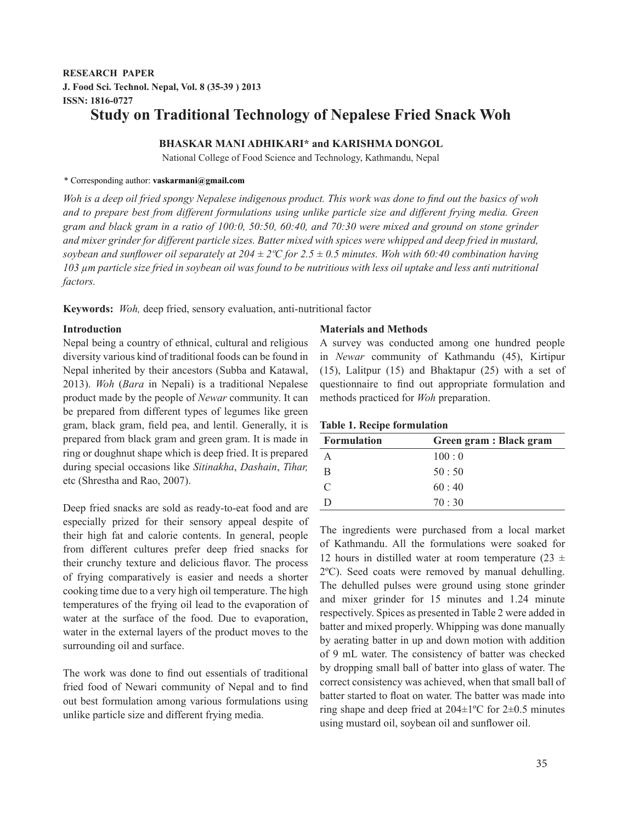# **RESEARCH PAPER J. Food Sci. Technol. Nepal, Vol. 8 (35-39 ) 2013 ISSN: 1816-0727 Study on Traditional Technology of Nepalese Fried Snack Woh**

# **BHASKAR MANI ADHIKARI\* and KARISHMA DONGOL**

National College of Food Science and Technology, Kathmandu, Nepal

# \* Corresponding author: **vaskarmani@gmail.com**

*Woh is a deep oil fried spongy Nepalese indigenous product. This work was done to find out the basics of woh and to prepare best from different formulations using unlike particle size and different frying media. Green gram and black gram in a ratio of 100:0, 50:50, 60:40, and 70:30 were mixed and ground on stone grinder and mixer grinder for different particle sizes. Batter mixed with spices were whipped and deep fried in mustard, soybean and sunflower oil separately at 204*  $\pm$  2 $\degree$ C for 2.5  $\pm$  0.5 minutes. Woh with 60:40 combination having *103 µm particle size fried in soybean oil was found to be nutritious with less oil uptake and less anti nutritional factors.*

**Keywords:** *Woh,* deep fried, sensory evaluation, anti-nutritional factor

# **Introduction**

Nepal being a country of ethnical, cultural and religious diversity various kind of traditional foods can be found in Nepal inherited by their ancestors (Subba and Katawal, 2013). *Woh* (*Bara* in Nepali) is a traditional Nepalese product made by the people of *Newar* community. It can be prepared from different types of legumes like green gram, black gram, field pea, and lentil. Generally, it is prepared from black gram and green gram. It is made in ring or doughnut shape which is deep fried. It is prepared during special occasions like *Sitinakha*, *Dashain*, *Tihar,* etc (Shrestha and Rao, 2007).

Deep fried snacks are sold as ready-to-eat food and are especially prized for their sensory appeal despite of their high fat and calorie contents. In general, people from different cultures prefer deep fried snacks for their crunchy texture and delicious flavor. The process of frying comparatively is easier and needs a shorter cooking time due to a very high oil temperature. The high temperatures of the frying oil lead to the evaporation of water at the surface of the food. Due to evaporation, water in the external layers of the product moves to the surrounding oil and surface.

The work was done to find out essentials of traditional fried food of Newari community of Nepal and to find out best formulation among various formulations using unlike particle size and different frying media.

#### **Materials and Methods**

A survey was conducted among one hundred people in *Newar* community of Kathmandu (45), Kirtipur (15), Lalitpur (15) and Bhaktapur (25) with a set of questionnaire to find out appropriate formulation and methods practiced for *Woh* preparation.

#### **Table 1. Recipe formulation**

| <b>Formulation</b> | Green gram : Black gram |
|--------------------|-------------------------|
|                    | 100:0                   |
| B                  | 50:50                   |
| $\Gamma$           | 60:40                   |
|                    | 70:30                   |

The ingredients were purchased from a local market of Kathmandu. All the formulations were soaked for 12 hours in distilled water at room temperature (23  $\pm$ 2ºC). Seed coats were removed by manual dehulling. The dehulled pulses were ground using stone grinder and mixer grinder for 15 minutes and 1.24 minute respectively. Spices as presented in Table 2 were added in batter and mixed properly. Whipping was done manually by aerating batter in up and down motion with addition of 9 mL water. The consistency of batter was checked by dropping small ball of batter into glass of water. The correct consistency was achieved, when that small ball of batter started to float on water. The batter was made into ring shape and deep fried at  $204 \pm 1$ <sup>o</sup>C for  $2 \pm 0.5$  minutes using mustard oil, soybean oil and sunflower oil.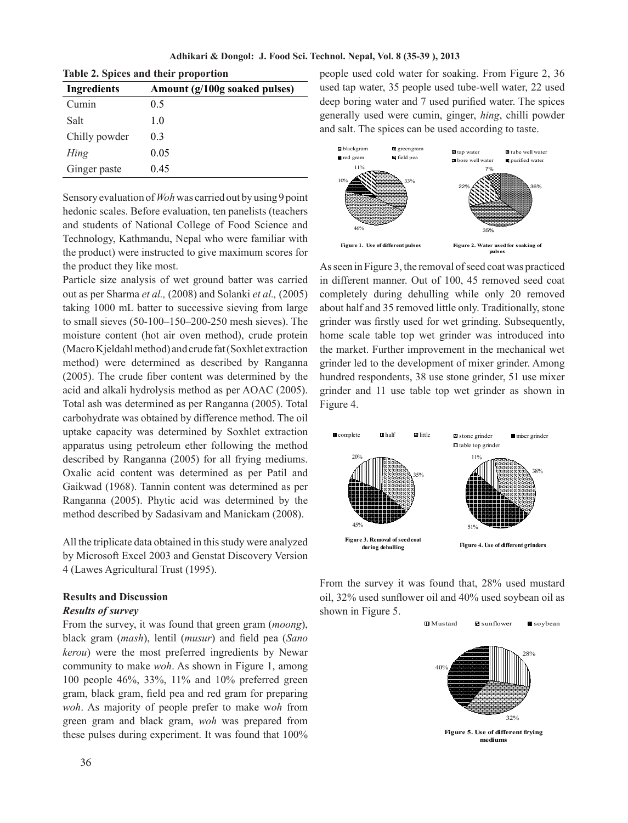**Adhikari & Dongol: J. Food Sci. Technol. Nepal, Vol. 8 (35-39 ), 2013**

| Table 2. Spices and their proportion |                               |  |  |  |  |
|--------------------------------------|-------------------------------|--|--|--|--|
| <b>Ingredients</b>                   | Amount (g/100g soaked pulses) |  |  |  |  |
| Cumin                                | 0.5                           |  |  |  |  |
| Salt                                 | 1.0                           |  |  |  |  |
| Chilly powder                        | 03                            |  |  |  |  |
| Hing                                 | 0.05                          |  |  |  |  |
| Ginger paste                         | 0.45                          |  |  |  |  |

Sensory evaluation of *Woh* was carried out by using 9 point hedonic scales. Before evaluation, ten panelists (teachers and students of National College of Food Science and Technology, Kathmandu, Nepal who were familiar with the product) were instructed to give maximum scores for the product they like most.

Particle size analysis of wet ground batter was carried out as per Sharma *et al.,* (2008) and Solanki *et al.,* (2005) taking 1000 mL batter to successive sieving from large to small sieves (50-100–150–200-250 mesh sieves). The moisture content (hot air oven method), crude protein (Macro Kjeldahl method) and crude fat (Soxhlet extraction method) were determined as described by Ranganna (2005). The crude fiber content was determined by the acid and alkali hydrolysis method as per AOAC (2005). Total ash was determined as per Ranganna (2005). Total carbohydrate was obtained by difference method. The oil uptake capacity was determined by Soxhlet extraction apparatus using petroleum ether following the method described by Ranganna (2005) for all frying mediums. Oxalic acid content was determined as per Patil and Gaikwad (1968). Tannin content was determined as per Ranganna (2005). Phytic acid was determined by the method described by Sadasivam and Manickam (2008).

All the triplicate data obtained in this study were analyzed by Microsoft Excel 2003 and Genstat Discovery Version 4 (Lawes Agricultural Trust (1995).

# **Results and Discussion**

# *Results of survey*

From the survey, it was found that green gram (*moong*), black gram (*mash*), lentil (*musur*) and field pea (*Sano kerou*) were the most preferred ingredients by Newar community to make *woh*. As shown in Figure 1, among 100 people 46%, 33%, 11% and 10% preferred green gram, black gram, field pea and red gram for preparing *woh*. As majority of people prefer to make w*oh* from green gram and black gram, *woh* was prepared from these pulses during experiment. It was found that 100% people used cold water for soaking. From Figure 2, 36 used tap water, 35 people used tube-well water, 22 used deep boring water and 7 used purified water. The spices generally used were cumin, ginger, *hing*, chilli powder and salt. The spices can be used according to taste.



As seen in Figure 3, the removal of seed coat was practiced in different manner. Out of 100, 45 removed seed coat completely during dehulling while only 20 removed about half and 35 removed little only. Traditionally, stone grinder was firstly used for wet grinding. Subsequently, home scale table top wet grinder was introduced into the market. Further improvement in the mechanical wet grinder led to the development of mixer grinder. Among hundred respondents, 38 use stone grinder, 51 use mixer grinder and 11 use table top wet grinder as shown in Figure 4.



From the survey it was found that, 28% used mustard oil, 32% used sunflower oil and 40% used soybean oil as shown in Figure 5.

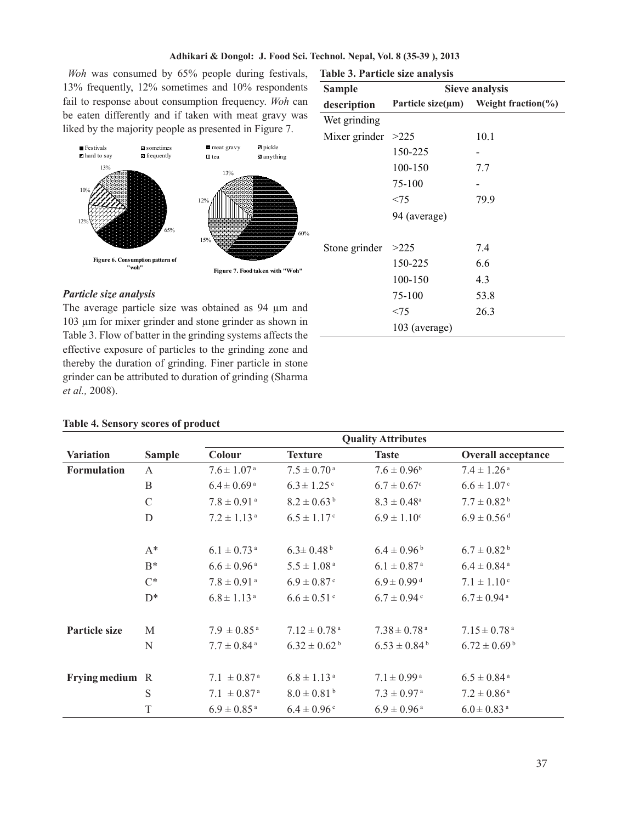# **Adhikari & Dongol: J. Food Sci. Technol. Nepal, Vol. 8 (35-39 ), 2013**

 *Woh* was consumed by 65% people during festivals, 13% frequently, 12% sometimes and 10% respondents fail to response about consumption frequency. *Woh* can be eaten differently and if taken with meat gravy was liked by the majority people as presented in Figure 7.



# *Particle size analysis*

The average particle size was obtained as 94 µm and 103 µm for mixer grinder and stone grinder as shown in Table 3. Flow of batter in the grinding systems affects the effective exposure of particles to the grinding zone and thereby the duration of grinding. Finer particle in stone grinder can be attributed to duration of grinding (Sharma *et al.,* 2008).

# **Sample description Sieve analysis Particle size(µm) Weight fraction(%)** Wet grinding Mixer grinder  $>225$  10.1 150-225 - 100-150 7.7 75-100 -  $< 75$  79.9 94 (average) Stone grinder  $>225$  7.4 150-225 6.6 100-150 4.3 75-100 53.8  $< 75$  26.3 103 (average)

### **Table 4. Sensory scores of product**

|                      |               | <b>Quality Attributes</b>   |                              |                              |                              |  |
|----------------------|---------------|-----------------------------|------------------------------|------------------------------|------------------------------|--|
| <b>Variation</b>     | <b>Sample</b> | Colour                      | <b>Texture</b>               | <b>Taste</b>                 | <b>Overall acceptance</b>    |  |
| <b>Formulation</b>   | A             | $7.6 \pm 1.07$ <sup>a</sup> | $7.5 \pm 0.70$ <sup>a</sup>  | $7.6 \pm 0.96^b$             | $7.4 \pm 1.26$ <sup>a</sup>  |  |
|                      | $\mathbf B$   | $6.4 \pm 0.69$ <sup>a</sup> | $6.3 \pm 1.25$ <sup>c</sup>  | $6.7 \pm 0.67$ <sup>c</sup>  | $6.6 \pm 1.07$ <sup>c</sup>  |  |
|                      | $\mathcal{C}$ | $7.8 \pm 0.91$ <sup>a</sup> | $8.2 \pm 0.63^{\mathrm{b}}$  | $8.3 \pm 0.48$ <sup>a</sup>  | $7.7 \pm 0.82^{\mathrm{b}}$  |  |
|                      | D             | $7.2 \pm 1.13$ <sup>a</sup> | $6.5 \pm 1.17$ <sup>c</sup>  | $6.9 \pm 1.10^c$             | $6.9\pm0.56$ d               |  |
|                      | $A^*$         | $6.1 \pm 0.73$ <sup>a</sup> | $6.3 \pm 0.48^{\mathrm{b}}$  | $6.4 \pm 0.96^{\mathrm{b}}$  | $6.7 \pm 0.82^{\mathrm{b}}$  |  |
|                      | $B^*$         | $6.6 \pm 0.96$ <sup>a</sup> | $5.5 \pm 1.08^{\text{ a}}$   | $6.1 \pm 0.87$ <sup>a</sup>  | $6.4 \pm 0.84$ <sup>a</sup>  |  |
|                      | $C^*$         | $7.8 \pm 0.91$ <sup>a</sup> | $6.9 \pm 0.87$ <sup>c</sup>  | $6.9 \pm 0.99$ <sup>d</sup>  | $7.1 \pm 1.10^{\circ}$       |  |
|                      | $D^*$         | $6.8 \pm 1.13$ <sup>a</sup> | $6.6 \pm 0.51$ <sup>c</sup>  | $6.7 \pm 0.94$ <sup>c</sup>  | $6.7 \pm 0.94$ <sup>a</sup>  |  |
| <b>Particle size</b> | M             | $7.9 \pm 0.85$ <sup>a</sup> | $7.12 \pm 0.78$ <sup>a</sup> | $7.38 \pm 0.78$ <sup>a</sup> | $7.15 \pm 0.78$ <sup>a</sup> |  |
|                      | N             | $7.7 \pm 0.84$ <sup>a</sup> | $6.32 \pm 0.62^{\mathrm{b}}$ | $6.53 \pm 0.84^{\mathrm{b}}$ | $6.72 \pm 0.69^{\mathrm{b}}$ |  |
| Frying medium R      |               | $7.1 \pm 0.87$ <sup>a</sup> | $6.8 \pm 1.13$ <sup>a</sup>  | $7.1 \pm 0.99$ <sup>a</sup>  | $6.5 \pm 0.84$ <sup>a</sup>  |  |
|                      | S             | $7.1 \pm 0.87$ <sup>a</sup> | $8.0 \pm 0.81^{\text{ b}}$   | $7.3 \pm 0.97$ <sup>a</sup>  | $7.2 \pm 0.86$ <sup>a</sup>  |  |
|                      | T             | $6.9 \pm 0.85$ <sup>a</sup> | $6.4 \pm 0.96$ <sup>c</sup>  | $6.9 \pm 0.96$ <sup>a</sup>  | $6.0 \pm 0.83$ <sup>a</sup>  |  |

#### **Table 3. Particle size analysis**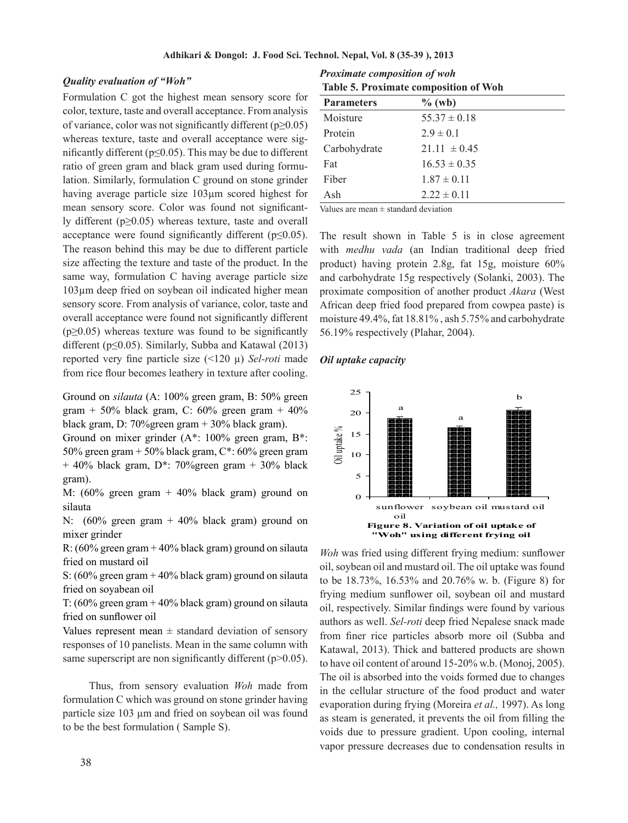# *Quality evaluation of "Woh"*

Formulation C got the highest mean sensory score for color, texture, taste and overall acceptance. From analysis of variance, color was not significantly different ( $p \ge 0.05$ ) whereas texture, taste and overall acceptance were significantly different ( $p \le 0.05$ ). This may be due to different ratio of green gram and black gram used during formulation. Similarly, formulation C ground on stone grinder having average particle size 103µm scored highest for mean sensory score. Color was found not significantly different (p≥0.05) whereas texture, taste and overall acceptance were found significantly different ( $p \le 0.05$ ). The reason behind this may be due to different particle size affecting the texture and taste of the product. In the same way, formulation C having average particle size 103µm deep fried on soybean oil indicated higher mean sensory score. From analysis of variance, color, taste and overall acceptance were found not significantly different  $(p\geq 0.05)$  whereas texture was found to be significantly different ( $p \le 0.05$ ). Similarly, Subba and Katawal (2013) reported very fine particle size (<120 µ) *Sel-roti* made from rice flour becomes leathery in texture after cooling.

Ground on *silauta* (A: 100% green gram, B: 50% green gram + 50% black gram, C:  $60\%$  green gram + 40% black gram, D: 70%green gram + 30% black gram).

Ground on mixer grinder (A\*: 100% green gram, B\*: 50% green gram + 50% black gram,  $C^*$ : 60% green gram  $+$  40% black gram, D<sup>\*</sup>: 70% green gram  $+$  30% black gram).

M: (60% green gram + 40% black gram) ground on silauta

N:  $(60\% \text{ green gram} + 40\% \text{ black gram})$  ground on mixer grinder

R:  $(60\%$  green gram + 40% black gram) ground on silauta fried on mustard oil

S: (60% green gram + 40% black gram) ground on silauta fried on soyabean oil

T: (60% green gram + 40% black gram) ground on silauta fried on sunflower oil

Values represent mean  $\pm$  standard deviation of sensory responses of 10 panelists. Mean in the same column with same superscript are non significantly different  $(p>0.05)$ .

 Thus, from sensory evaluation *Woh* made from formulation C which was ground on stone grinder having particle size 103 um and fried on soybean oil was found to be the best formulation ( Sample S).

*Proximate composition of woh*  **Table 5. Proximate composition of Woh**

| <b>Parameters</b> | $\%$ (wb)        |
|-------------------|------------------|
| Moisture          | $55.37 \pm 0.18$ |
| Protein           | $2.9 \pm 0.1$    |
| Carbohydrate      | $21.11 \pm 0.45$ |
| Fat               | $16.53 \pm 0.35$ |
| Fiber             | $1.87 \pm 0.11$  |
| Ash               | $2.22 \pm 0.11$  |

Values are mean  $\pm$  standard deviation

The result shown in Table 5 is in close agreement with *medhu vada* (an Indian traditional deep fried product) having protein 2.8g, fat 15g, moisture 60% and carbohydrate 15g respectively (Solanki, 2003). The proximate composition of another product *Akara* (West African deep fried food prepared from cowpea paste) is moisture 49.4%, fat 18.81% , ash 5.75% and carbohydrate 56.19% respectively (Plahar, 2004).

# *Oil uptake capacity*



*Woh* was fried using different frying medium: sunflower oil, soybean oil and mustard oil. The oil uptake was found to be 18.73%, 16.53% and 20.76% w. b. (Figure 8) for frying medium sunflower oil, soybean oil and mustard oil, respectively. Similar findings were found by various authors as well. *Sel-roti* deep fried Nepalese snack made from finer rice particles absorb more oil (Subba and Katawal, 2013). Thick and battered products are shown to have oil content of around 15-20% w.b. (Monoj, 2005). The oil is absorbed into the voids formed due to changes in the cellular structure of the food product and water evaporation during frying (Moreira *et al.,* 1997). As long as steam is generated, it prevents the oil from filling the voids due to pressure gradient. Upon cooling, internal vapor pressure decreases due to condensation results in